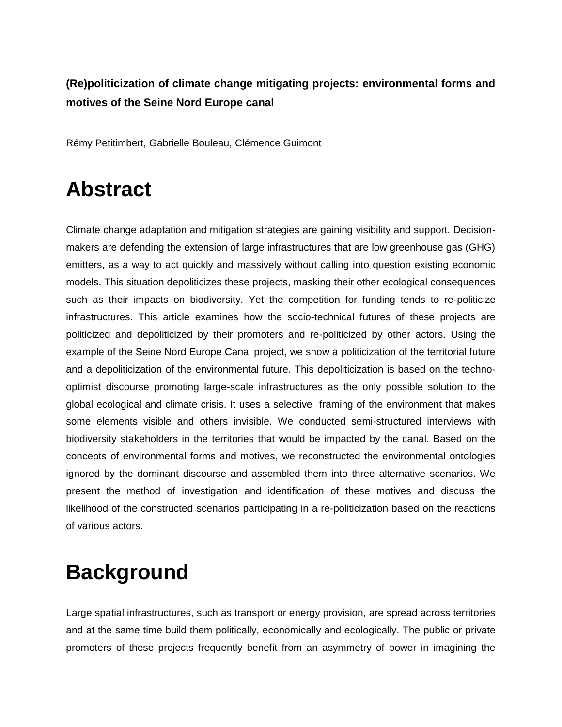#### **(Re)politicization of climate change mitigating projects: environmental forms and motives of the Seine Nord Europe canal**

Rémy Petitimbert, Gabrielle Bouleau, Clémence Guimont

### **Abstract**

Climate change adaptation and mitigation strategies are gaining visibility and support. Decisionmakers are defending the extension of large infrastructures that are low greenhouse gas (GHG) emitters, as a way to act quickly and massively without calling into question existing economic models. This situation depoliticizes these projects, masking their other ecological consequences such as their impacts on biodiversity. Yet the competition for funding tends to re-politicize infrastructures. This article examines how the socio-technical futures of these projects are politicized and depoliticized by their promoters and re-politicized by other actors. Using the example of the Seine Nord Europe Canal project, we show a politicization of the territorial future and a depoliticization of the environmental future. This depoliticization is based on the technooptimist discourse promoting large-scale infrastructures as the only possible solution to the global ecological and climate crisis. It uses a selective framing of the environment that makes some elements visible and others invisible. We conducted semi-structured interviews with biodiversity stakeholders in the territories that would be impacted by the canal. Based on the concepts of environmental forms and motives, we reconstructed the environmental ontologies ignored by the dominant discourse and assembled them into three alternative scenarios. We present the method of investigation and identification of these motives and discuss the likelihood of the constructed scenarios participating in a re-politicization based on the reactions of various actors.

# **Background**

Large spatial infrastructures, such as transport or energy provision, are spread across territories and at the same time build them politically, economically and ecologically. The public or private promoters of these projects frequently benefit from an asymmetry of power in imagining the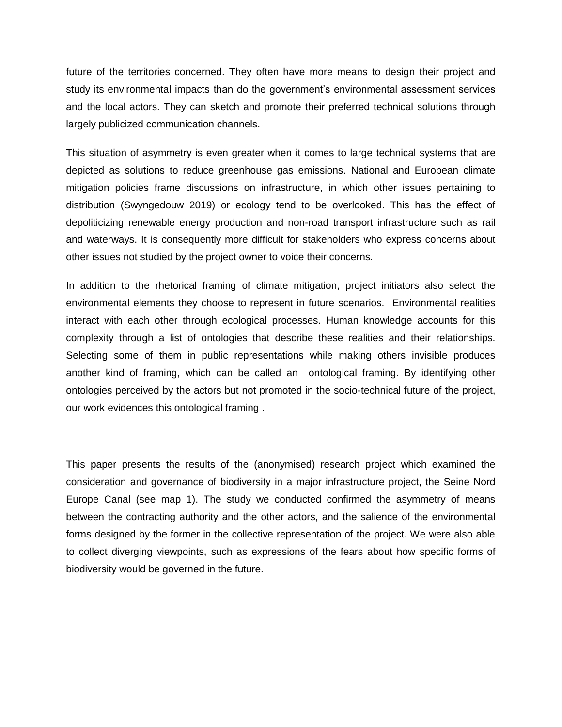future of the territories concerned. They often have more means to design their project and study its environmental impacts than do the government's environmental assessment services and the local actors. They can sketch and promote their preferred technical solutions through largely publicized communication channels.

This situation of asymmetry is even greater when it comes to large technical systems that are depicted as solutions to reduce greenhouse gas emissions. National and European climate mitigation policies frame discussions on infrastructure, in which other issues pertaining to distribution (Swyngedouw 2019) or ecology tend to be overlooked. This has the effect of depoliticizing renewable energy production and non-road transport infrastructure such as rail and waterways. It is consequently more difficult for stakeholders who express concerns about other issues not studied by the project owner to voice their concerns.

In addition to the rhetorical framing of climate mitigation, project initiators also select the environmental elements they choose to represent in future scenarios. Environmental realities interact with each other through ecological processes. Human knowledge accounts for this complexity through a list of ontologies that describe these realities and their relationships. Selecting some of them in public representations while making others invisible produces another kind of framing, which can be called an ontological framing. By identifying other ontologies perceived by the actors but not promoted in the socio-technical future of the project, our work evidences this ontological framing .

This paper presents the results of the (anonymised) research project which examined the consideration and governance of biodiversity in a major infrastructure project, the Seine Nord Europe Canal (see map 1). The study we conducted confirmed the asymmetry of means between the contracting authority and the other actors, and the salience of the environmental forms designed by the former in the collective representation of the project. We were also able to collect diverging viewpoints, such as expressions of the fears about how specific forms of biodiversity would be governed in the future.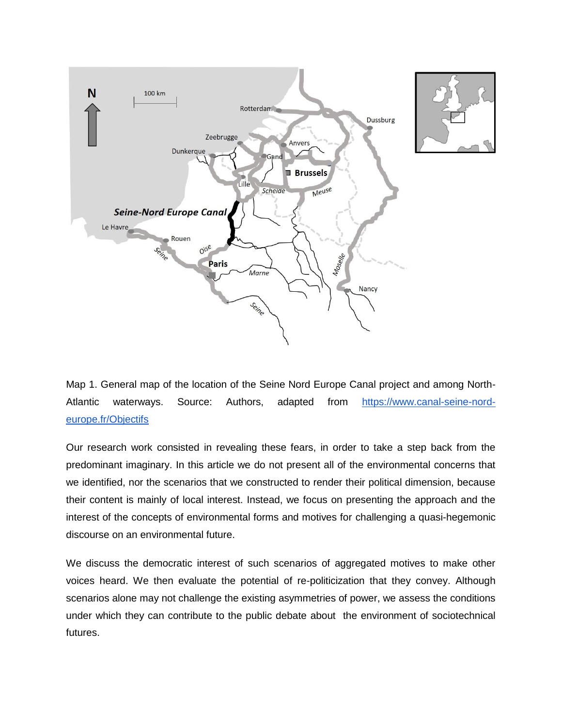

Map 1. General map of the location of the Seine Nord Europe Canal project and among North-Atlantic waterways. Source: Authors, adapted from [https://www.canal-seine-nord](https://www.canal-seine-nord-europe.fr/Objectifs)[europe.fr/Objectifs](https://www.canal-seine-nord-europe.fr/Objectifs)

Our research work consisted in revealing these fears, in order to take a step back from the predominant imaginary. In this article we do not present all of the environmental concerns that we identified, nor the scenarios that we constructed to render their political dimension, because their content is mainly of local interest. Instead, we focus on presenting the approach and the interest of the concepts of environmental forms and motives for challenging a quasi-hegemonic discourse on an environmental future.

We discuss the democratic interest of such scenarios of aggregated motives to make other voices heard. We then evaluate the potential of re-politicization that they convey. Although scenarios alone may not challenge the existing asymmetries of power, we assess the conditions under which they can contribute to the public debate about the environment of sociotechnical futures.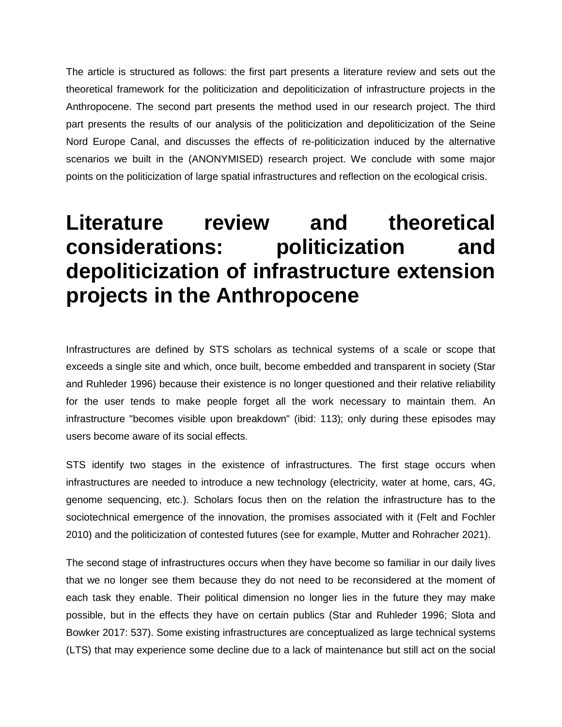The article is structured as follows: the first part presents a literature review and sets out the theoretical framework for the politicization and depoliticization of infrastructure projects in the Anthropocene. The second part presents the method used in our research project. The third part presents the results of our analysis of the politicization and depoliticization of the Seine Nord Europe Canal, and discusses the effects of re-politicization induced by the alternative scenarios we built in the (ANONYMISED) research project. We conclude with some major points on the politicization of large spatial infrastructures and reflection on the ecological crisis.

## **Literature review and theoretical considerations: politicization and depoliticization of infrastructure extension projects in the Anthropocene**

Infrastructures are defined by STS scholars as technical systems of a scale or scope that exceeds a single site and which, once built, become embedded and transparent in society (Star and Ruhleder 1996) because their existence is no longer questioned and their relative reliability for the user tends to make people forget all the work necessary to maintain them. An infrastructure "becomes visible upon breakdown" (ibid: 113); only during these episodes may users become aware of its social effects.

STS identify two stages in the existence of infrastructures. The first stage occurs when infrastructures are needed to introduce a new technology (electricity, water at home, cars, 4G, genome sequencing, etc.). Scholars focus then on the relation the infrastructure has to the sociotechnical emergence of the innovation, the promises associated with it (Felt and Fochler 2010) and the politicization of contested futures (see for example, Mutter and Rohracher 2021).

The second stage of infrastructures occurs when they have become so familiar in our daily lives that we no longer see them because they do not need to be reconsidered at the moment of each task they enable. Their political dimension no longer lies in the future they may make possible, but in the effects they have on certain publics (Star and Ruhleder 1996; Slota and Bowker 2017: 537). Some existing infrastructures are conceptualized as large technical systems (LTS) that may experience some decline due to a lack of maintenance but still act on the social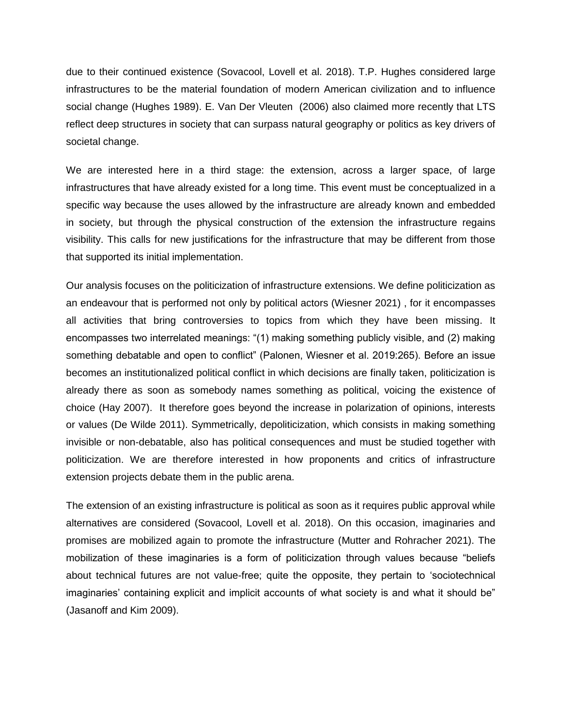due to their continued existence (Sovacool, Lovell et al. 2018). T.P. Hughes considered large infrastructures to be the material foundation of modern American civilization and to influence social change (Hughes 1989). E. Van Der Vleuten (2006) also claimed more recently that LTS reflect deep structures in society that can surpass natural geography or politics as key drivers of societal change.

We are interested here in a third stage: the extension, across a larger space, of large infrastructures that have already existed for a long time. This event must be conceptualized in a specific way because the uses allowed by the infrastructure are already known and embedded in society, but through the physical construction of the extension the infrastructure regains visibility. This calls for new justifications for the infrastructure that may be different from those that supported its initial implementation.

Our analysis focuses on the politicization of infrastructure extensions. We define politicization as an endeavour that is performed not only by political actors (Wiesner 2021) , for it encompasses all activities that bring controversies to topics from which they have been missing. It encompasses two interrelated meanings: "(1) making something publicly visible, and (2) making something debatable and open to conflict" (Palonen, Wiesner et al. 2019:265). Before an issue becomes an institutionalized political conflict in which decisions are finally taken, politicization is already there as soon as somebody names something as political, voicing the existence of choice (Hay 2007). It therefore goes beyond the increase in polarization of opinions, interests or values (De Wilde 2011). Symmetrically, depoliticization, which consists in making something invisible or non-debatable, also has political consequences and must be studied together with politicization. We are therefore interested in how proponents and critics of infrastructure extension projects debate them in the public arena.

The extension of an existing infrastructure is political as soon as it requires public approval while alternatives are considered (Sovacool, Lovell et al. 2018). On this occasion, imaginaries and promises are mobilized again to promote the infrastructure (Mutter and Rohracher 2021). The mobilization of these imaginaries is a form of politicization through values because "beliefs about technical futures are not value-free; quite the opposite, they pertain to 'sociotechnical imaginaries' containing explicit and implicit accounts of what society is and what it should be" (Jasanoff and Kim 2009).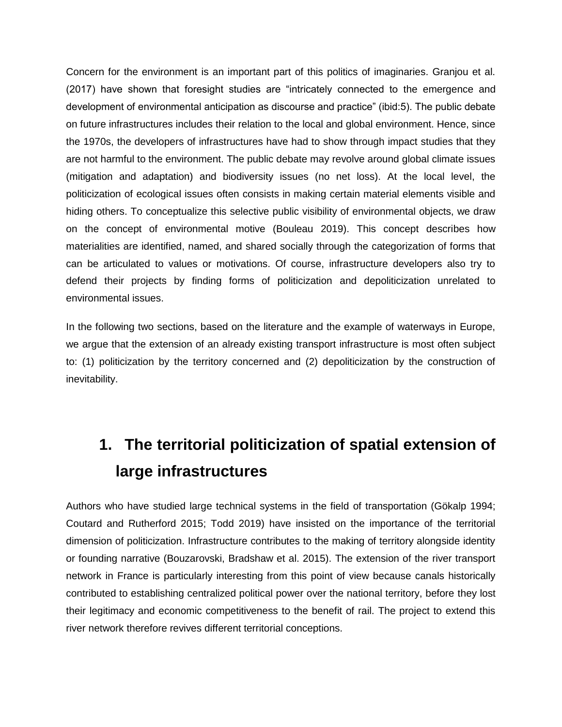Concern for the environment is an important part of this politics of imaginaries. Granjou et al. (2017) have shown that foresight studies are "intricately connected to the emergence and development of environmental anticipation as discourse and practice" (ibid:5). The public debate on future infrastructures includes their relation to the local and global environment. Hence, since the 1970s, the developers of infrastructures have had to show through impact studies that they are not harmful to the environment. The public debate may revolve around global climate issues (mitigation and adaptation) and biodiversity issues (no net loss). At the local level, the politicization of ecological issues often consists in making certain material elements visible and hiding others. To conceptualize this selective public visibility of environmental objects, we draw on the concept of environmental motive (Bouleau 2019). This concept describes how materialities are identified, named, and shared socially through the categorization of forms that can be articulated to values or motivations. Of course, infrastructure developers also try to defend their projects by finding forms of politicization and depoliticization unrelated to environmental issues.

In the following two sections, based on the literature and the example of waterways in Europe, we argue that the extension of an already existing transport infrastructure is most often subject to: (1) politicization by the territory concerned and (2) depoliticization by the construction of inevitability.

#### **1. The territorial politicization of spatial extension of large infrastructures**

Authors who have studied large technical systems in the field of transportation (Gökalp 1994; Coutard and Rutherford 2015; Todd 2019) have insisted on the importance of the territorial dimension of politicization. Infrastructure contributes to the making of territory alongside identity or founding narrative (Bouzarovski, Bradshaw et al. 2015). The extension of the river transport network in France is particularly interesting from this point of view because canals historically contributed to establishing centralized political power over the national territory, before they lost their legitimacy and economic competitiveness to the benefit of rail. The project to extend this river network therefore revives different territorial conceptions.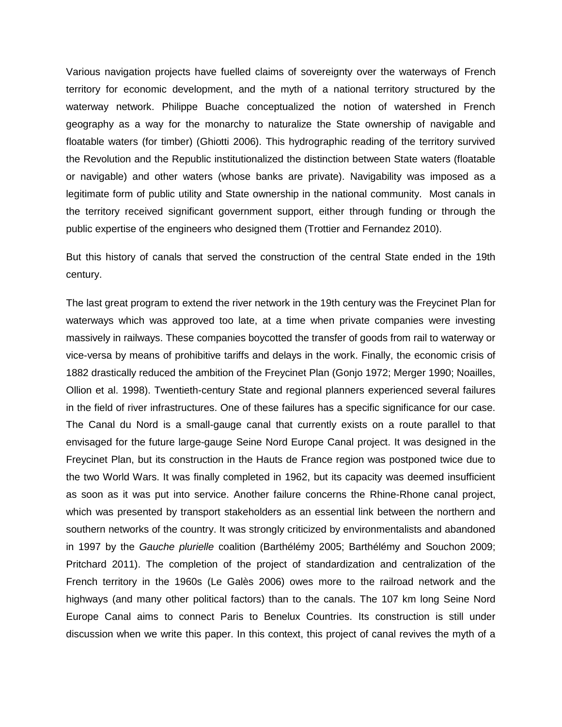Various navigation projects have fuelled claims of sovereignty over the waterways of French territory for economic development, and the myth of a national territory structured by the waterway network. Philippe Buache conceptualized the notion of watershed in French geography as a way for the monarchy to naturalize the State ownership of navigable and floatable waters (for timber) (Ghiotti 2006). This hydrographic reading of the territory survived the Revolution and the Republic institutionalized the distinction between State waters (floatable or navigable) and other waters (whose banks are private). Navigability was imposed as a legitimate form of public utility and State ownership in the national community. Most canals in the territory received significant government support, either through funding or through the public expertise of the engineers who designed them (Trottier and Fernandez 2010).

But this history of canals that served the construction of the central State ended in the 19th century.

The last great program to extend the river network in the 19th century was the Freycinet Plan for waterways which was approved too late, at a time when private companies were investing massively in railways. These companies boycotted the transfer of goods from rail to waterway or vice-versa by means of prohibitive tariffs and delays in the work. Finally, the economic crisis of 1882 drastically reduced the ambition of the Freycinet Plan (Gonjo 1972; Merger 1990; Noailles, Ollion et al. 1998). Twentieth-century State and regional planners experienced several failures in the field of river infrastructures. One of these failures has a specific significance for our case. The Canal du Nord is a small-gauge canal that currently exists on a route parallel to that envisaged for the future large-gauge Seine Nord Europe Canal project. It was designed in the Freycinet Plan, but its construction in the Hauts de France region was postponed twice due to the two World Wars. It was finally completed in 1962, but its capacity was deemed insufficient as soon as it was put into service. Another failure concerns the Rhine-Rhone canal project, which was presented by transport stakeholders as an essential link between the northern and southern networks of the country. It was strongly criticized by environmentalists and abandoned in 1997 by the *Gauche plurielle* coalition (Barthélémy 2005; Barthélémy and Souchon 2009; Pritchard 2011). The completion of the project of standardization and centralization of the French territory in the 1960s (Le Galès 2006) owes more to the railroad network and the highways (and many other political factors) than to the canals. The 107 km long Seine Nord Europe Canal aims to connect Paris to Benelux Countries. Its construction is still under discussion when we write this paper. In this context, this project of canal revives the myth of a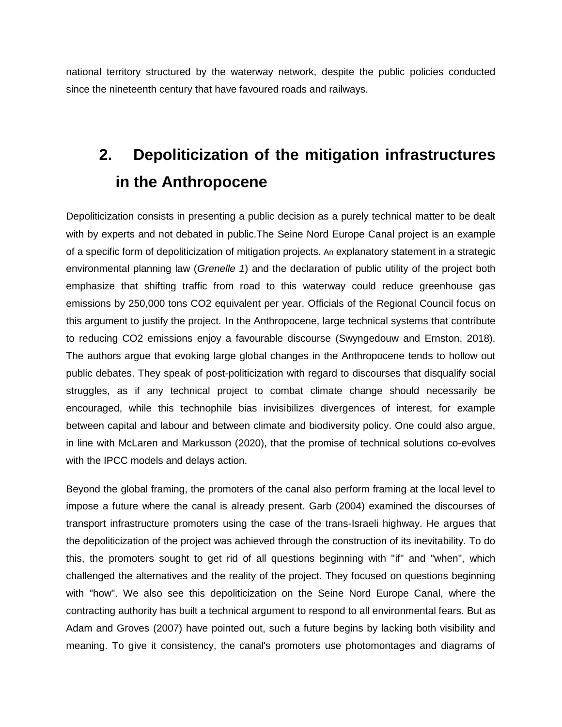national territory structured by the waterway network, despite the public policies conducted since the nineteenth century that have favoured roads and railways.

#### **2. Depoliticization of the mitigation infrastructures in the Anthropocene**

Depoliticization consists in presenting a public decision as a purely technical matter to be dealt with by experts and not debated in public.The Seine Nord Europe Canal project is an example of a specific form of depoliticization of mitigation projects. An explanatory statement in a strategic environmental planning law (*Grenelle 1*) and the declaration of public utility of the project both emphasize that shifting traffic from road to this waterway could reduce greenhouse gas emissions by 250,000 tons CO2 equivalent per year. Officials of the Regional Council focus on this argument to justify the project. In the Anthropocene, large technical systems that contribute to reducing CO2 emissions enjoy a favourable discourse (Swyngedouw and Ernston, 2018). The authors argue that evoking large global changes in the Anthropocene tends to hollow out public debates. They speak of post-politicization with regard to discourses that disqualify social struggles, as if any technical project to combat climate change should necessarily be encouraged, while this technophile bias invisibilizes divergences of interest, for example between capital and labour and between climate and biodiversity policy. One could also argue, in line with McLaren and Markusson (2020), that the promise of technical solutions co-evolves with the IPCC models and delays action.

Beyond the global framing, the promoters of the canal also perform framing at the local level to impose a future where the canal is already present. Garb (2004) examined the discourses of transport infrastructure promoters using the case of the trans-Israeli highway. He argues that the depoliticization of the project was achieved through the construction of its inevitability. To do this, the promoters sought to get rid of all questions beginning with "if" and "when", which challenged the alternatives and the reality of the project. They focused on questions beginning with "how". We also see this depoliticization on the Seine Nord Europe Canal, where the contracting authority has built a technical argument to respond to all environmental fears. But as Adam and Groves (2007) have pointed out, such a future begins by lacking both visibility and meaning. To give it consistency, the canal's promoters use photomontages and diagrams of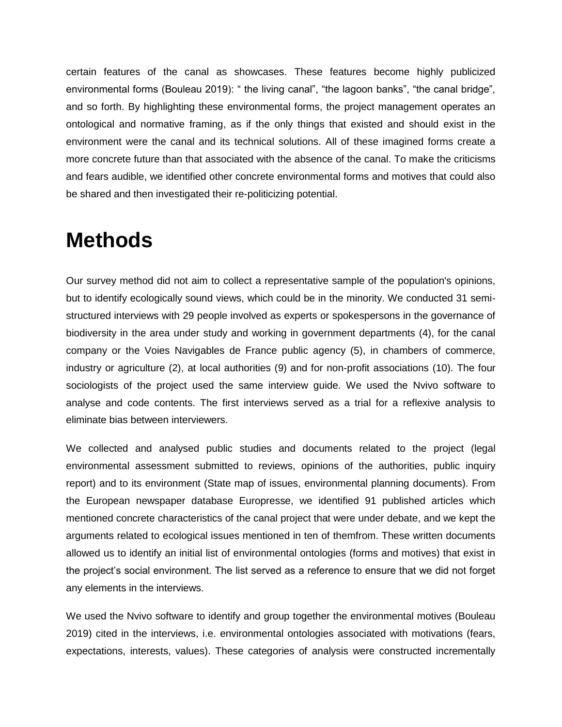certain features of the canal as showcases. These features become highly publicized environmental forms (Bouleau 2019): " the living canal", "the lagoon banks", "the canal bridge", and so forth. By highlighting these environmental forms, the project management operates an ontological and normative framing, as if the only things that existed and should exist in the environment were the canal and its technical solutions. All of these imagined forms create a more concrete future than that associated with the absence of the canal. To make the criticisms and fears audible, we identified other concrete environmental forms and motives that could also be shared and then investigated their re-politicizing potential.

#### **Methods**

Our survey method did not aim to collect a representative sample of the population's opinions, but to identify ecologically sound views, which could be in the minority. We conducted 31 semistructured interviews with 29 people involved as experts or spokespersons in the governance of biodiversity in the area under study and working in government departments (4), for the canal company or the Voies Navigables de France public agency (5), in chambers of commerce, industry or agriculture (2), at local authorities (9) and for non-profit associations (10). The four sociologists of the project used the same interview guide. We used the Nvivo software to analyse and code contents. The first interviews served as a trial for a reflexive analysis to eliminate bias between interviewers.

We collected and analysed public studies and documents related to the project (legal environmental assessment submitted to reviews, opinions of the authorities, public inquiry report) and to its environment (State map of issues, environmental planning documents). From the European newspaper database Europresse, we identified 91 published articles which mentioned concrete characteristics of the canal project that were under debate, and we kept the arguments related to ecological issues mentioned in ten of themfrom. These written documents allowed us to identify an initial list of environmental ontologies (forms and motives) that exist in the project's social environment. The list served as a reference to ensure that we did not forget any elements in the interviews.

We used the Nvivo software to identify and group together the environmental motives (Bouleau 2019) cited in the interviews, i.e. environmental ontologies associated with motivations (fears, expectations, interests, values). These categories of analysis were constructed incrementally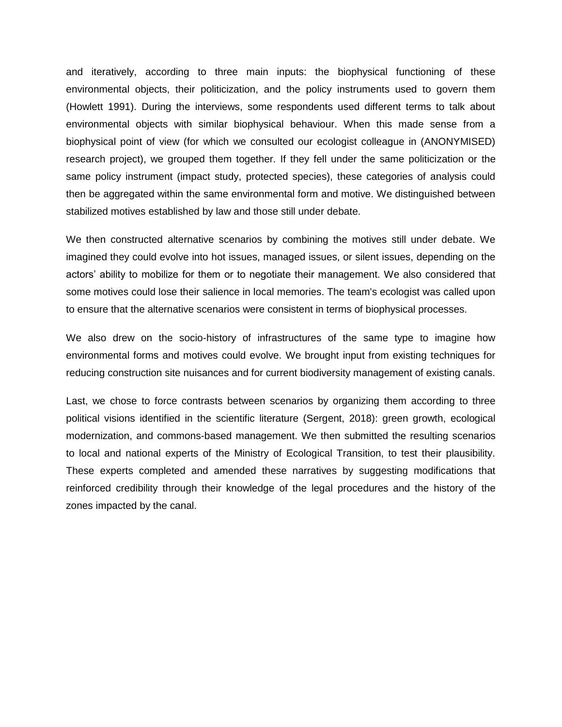and iteratively, according to three main inputs: the biophysical functioning of these environmental objects, their politicization, and the policy instruments used to govern them (Howlett 1991). During the interviews, some respondents used different terms to talk about environmental objects with similar biophysical behaviour. When this made sense from a biophysical point of view (for which we consulted our ecologist colleague in (ANONYMISED) research project), we grouped them together. If they fell under the same politicization or the same policy instrument (impact study, protected species), these categories of analysis could then be aggregated within the same environmental form and motive. We distinguished between stabilized motives established by law and those still under debate.

We then constructed alternative scenarios by combining the motives still under debate. We imagined they could evolve into hot issues, managed issues, or silent issues, depending on the actors' ability to mobilize for them or to negotiate their management. We also considered that some motives could lose their salience in local memories. The team's ecologist was called upon to ensure that the alternative scenarios were consistent in terms of biophysical processes.

We also drew on the socio-history of infrastructures of the same type to imagine how environmental forms and motives could evolve. We brought input from existing techniques for reducing construction site nuisances and for current biodiversity management of existing canals.

Last, we chose to force contrasts between scenarios by organizing them according to three political visions identified in the scientific literature (Sergent, 2018): green growth, ecological modernization, and commons-based management. We then submitted the resulting scenarios to local and national experts of the Ministry of Ecological Transition, to test their plausibility. These experts completed and amended these narratives by suggesting modifications that reinforced credibility through their knowledge of the legal procedures and the history of the zones impacted by the canal.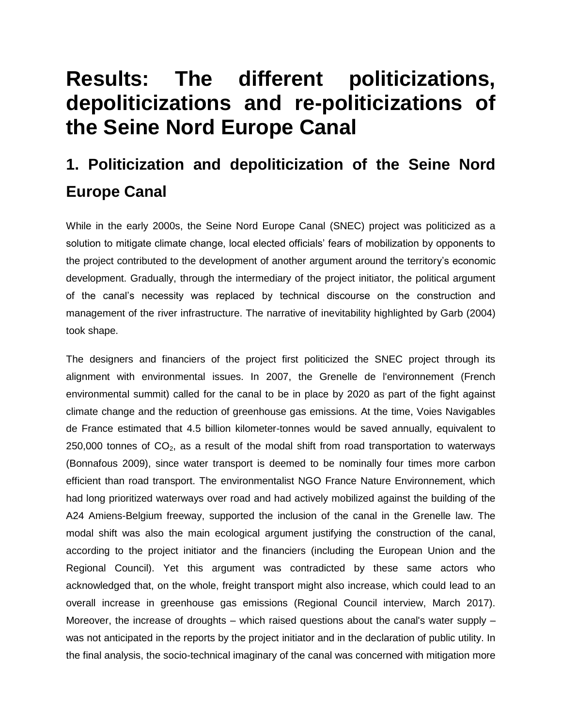## **Results: The different politicizations, depoliticizations and re-politicizations of the Seine Nord Europe Canal**

#### **1. Politicization and depoliticization of the Seine Nord Europe Canal**

While in the early 2000s, the Seine Nord Europe Canal (SNEC) project was politicized as a solution to mitigate climate change, local elected officials' fears of mobilization by opponents to the project contributed to the development of another argument around the territory's economic development. Gradually, through the intermediary of the project initiator, the political argument of the canal's necessity was replaced by technical discourse on the construction and management of the river infrastructure. The narrative of inevitability highlighted by Garb (2004) took shape.

The designers and financiers of the project first politicized the SNEC project through its alignment with environmental issues. In 2007, the Grenelle de l'environnement (French environmental summit) called for the canal to be in place by 2020 as part of the fight against climate change and the reduction of greenhouse gas emissions. At the time, Voies Navigables de France estimated that 4.5 billion kilometer-tonnes would be saved annually, equivalent to 250,000 tonnes of  $CO<sub>2</sub>$ , as a result of the modal shift from road transportation to waterways (Bonnafous 2009), since water transport is deemed to be nominally four times more carbon efficient than road transport. The environmentalist NGO France Nature Environnement, which had long prioritized waterways over road and had actively mobilized against the building of the A24 Amiens-Belgium freeway, supported the inclusion of the canal in the Grenelle law. The modal shift was also the main ecological argument justifying the construction of the canal, according to the project initiator and the financiers (including the European Union and the Regional Council). Yet this argument was contradicted by these same actors who acknowledged that, on the whole, freight transport might also increase, which could lead to an overall increase in greenhouse gas emissions (Regional Council interview, March 2017). Moreover, the increase of droughts  $-$  which raised questions about the canal's water supply  $$ was not anticipated in the reports by the project initiator and in the declaration of public utility. In the final analysis, the socio-technical imaginary of the canal was concerned with mitigation more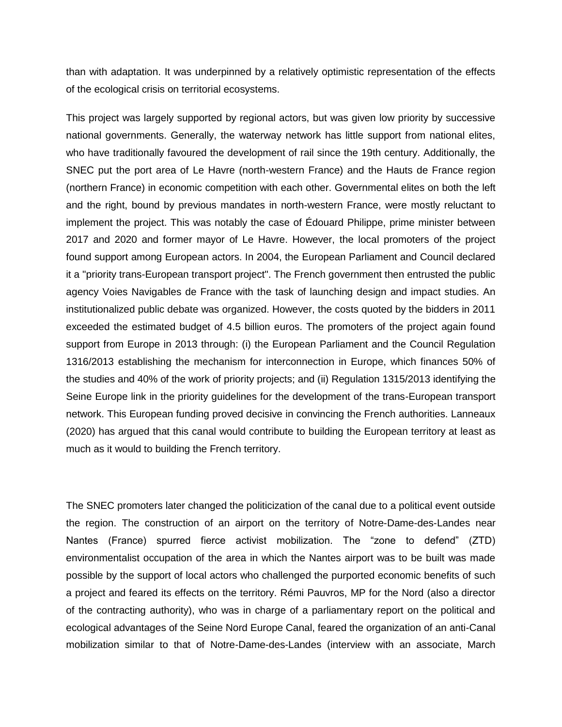than with adaptation. It was underpinned by a relatively optimistic representation of the effects of the ecological crisis on territorial ecosystems.

This project was largely supported by regional actors, but was given low priority by successive national governments. Generally, the waterway network has little support from national elites, who have traditionally favoured the development of rail since the 19th century. Additionally, the SNEC put the port area of Le Havre (north-western France) and the Hauts de France region (northern France) in economic competition with each other. Governmental elites on both the left and the right, bound by previous mandates in north-western France, were mostly reluctant to implement the project. This was notably the case of Édouard Philippe, prime minister between 2017 and 2020 and former mayor of Le Havre. However, the local promoters of the project found support among European actors. In 2004, the European Parliament and Council declared it a "priority trans-European transport project". The French government then entrusted the public agency Voies Navigables de France with the task of launching design and impact studies. An institutionalized public debate was organized. However, the costs quoted by the bidders in 2011 exceeded the estimated budget of 4.5 billion euros. The promoters of the project again found support from Europe in 2013 through: (i) the European Parliament and the Council Regulation 1316/2013 establishing the mechanism for interconnection in Europe, which finances 50% of the studies and 40% of the work of priority projects; and (ii) Regulation 1315/2013 identifying the Seine Europe link in the priority guidelines for the development of the trans-European transport network. This European funding proved decisive in convincing the French authorities. Lanneaux (2020) has argued that this canal would contribute to building the European territory at least as much as it would to building the French territory.

The SNEC promoters later changed the politicization of the canal due to a political event outside the region. The construction of an airport on the territory of Notre-Dame-des-Landes near Nantes (France) spurred fierce activist mobilization. The "zone to defend" (ZTD) environmentalist occupation of the area in which the Nantes airport was to be built was made possible by the support of local actors who challenged the purported economic benefits of such a project and feared its effects on the territory. Rémi Pauvros, MP for the Nord (also a director of the contracting authority), who was in charge of a parliamentary report on the political and ecological advantages of the Seine Nord Europe Canal, feared the organization of an anti-Canal mobilization similar to that of Notre-Dame-des-Landes (interview with an associate, March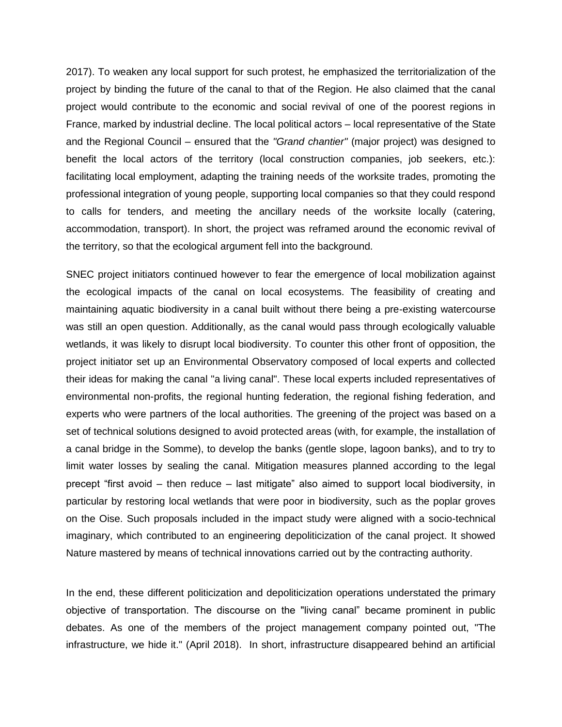2017). To weaken any local support for such protest, he emphasized the territorialization of the project by binding the future of the canal to that of the Region. He also claimed that the canal project would contribute to the economic and social revival of one of the poorest regions in France, marked by industrial decline. The local political actors – local representative of the State and the Regional Council – ensured that the *"Grand chantier"* (major project) was designed to benefit the local actors of the territory (local construction companies, job seekers, etc.): facilitating local employment, adapting the training needs of the worksite trades, promoting the professional integration of young people, supporting local companies so that they could respond to calls for tenders, and meeting the ancillary needs of the worksite locally (catering, accommodation, transport). In short, the project was reframed around the economic revival of the territory, so that the ecological argument fell into the background.

SNEC project initiators continued however to fear the emergence of local mobilization against the ecological impacts of the canal on local ecosystems. The feasibility of creating and maintaining aquatic biodiversity in a canal built without there being a pre-existing watercourse was still an open question. Additionally, as the canal would pass through ecologically valuable wetlands, it was likely to disrupt local biodiversity. To counter this other front of opposition, the project initiator set up an Environmental Observatory composed of local experts and collected their ideas for making the canal "a living canal". These local experts included representatives of environmental non-profits, the regional hunting federation, the regional fishing federation, and experts who were partners of the local authorities. The greening of the project was based on a set of technical solutions designed to avoid protected areas (with, for example, the installation of a canal bridge in the Somme), to develop the banks (gentle slope, lagoon banks), and to try to limit water losses by sealing the canal. Mitigation measures planned according to the legal precept "first avoid – then reduce – last mitigate" also aimed to support local biodiversity, in particular by restoring local wetlands that were poor in biodiversity, such as the poplar groves on the Oise. Such proposals included in the impact study were aligned with a socio-technical imaginary, which contributed to an engineering depoliticization of the canal project. It showed Nature mastered by means of technical innovations carried out by the contracting authority.

In the end, these different politicization and depoliticization operations understated the primary objective of transportation. The discourse on the "living canal" became prominent in public debates. As one of the members of the project management company pointed out, "The infrastructure, we hide it." (April 2018). In short, infrastructure disappeared behind an artificial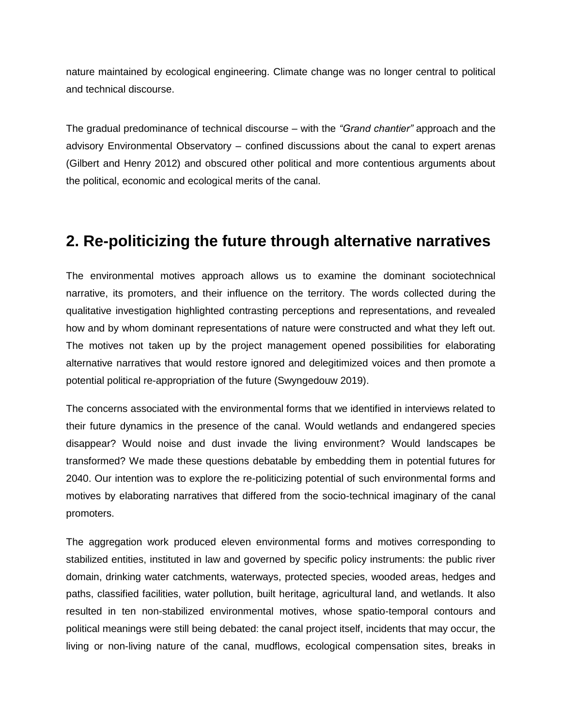nature maintained by ecological engineering. Climate change was no longer central to political and technical discourse.

The gradual predominance of technical discourse – with the *"Grand chantier"* approach and the advisory Environmental Observatory – confined discussions about the canal to expert arenas (Gilbert and Henry 2012) and obscured other political and more contentious arguments about the political, economic and ecological merits of the canal.

#### **2. Re-politicizing the future through alternative narratives**

The environmental motives approach allows us to examine the dominant sociotechnical narrative, its promoters, and their influence on the territory. The words collected during the qualitative investigation highlighted contrasting perceptions and representations, and revealed how and by whom dominant representations of nature were constructed and what they left out. The motives not taken up by the project management opened possibilities for elaborating alternative narratives that would restore ignored and delegitimized voices and then promote a potential political re-appropriation of the future (Swyngedouw 2019).

The concerns associated with the environmental forms that we identified in interviews related to their future dynamics in the presence of the canal. Would wetlands and endangered species disappear? Would noise and dust invade the living environment? Would landscapes be transformed? We made these questions debatable by embedding them in potential futures for 2040. Our intention was to explore the re-politicizing potential of such environmental forms and motives by elaborating narratives that differed from the socio-technical imaginary of the canal promoters.

The aggregation work produced eleven environmental forms and motives corresponding to stabilized entities, instituted in law and governed by specific policy instruments: the public river domain, drinking water catchments, waterways, protected species, wooded areas, hedges and paths, classified facilities, water pollution, built heritage, agricultural land, and wetlands. It also resulted in ten non-stabilized environmental motives, whose spatio-temporal contours and political meanings were still being debated: the canal project itself, incidents that may occur, the living or non-living nature of the canal, mudflows, ecological compensation sites, breaks in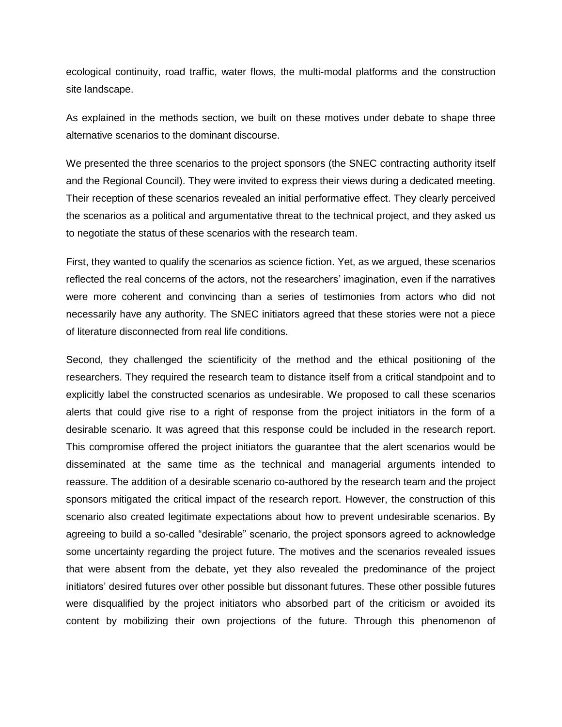ecological continuity, road traffic, water flows, the multi-modal platforms and the construction site landscape.

As explained in the methods section, we built on these motives under debate to shape three alternative scenarios to the dominant discourse.

We presented the three scenarios to the project sponsors (the SNEC contracting authority itself and the Regional Council). They were invited to express their views during a dedicated meeting. Their reception of these scenarios revealed an initial performative effect. They clearly perceived the scenarios as a political and argumentative threat to the technical project, and they asked us to negotiate the status of these scenarios with the research team.

First, they wanted to qualify the scenarios as science fiction. Yet, as we argued, these scenarios reflected the real concerns of the actors, not the researchers' imagination, even if the narratives were more coherent and convincing than a series of testimonies from actors who did not necessarily have any authority. The SNEC initiators agreed that these stories were not a piece of literature disconnected from real life conditions.

Second, they challenged the scientificity of the method and the ethical positioning of the researchers. They required the research team to distance itself from a critical standpoint and to explicitly label the constructed scenarios as undesirable. We proposed to call these scenarios alerts that could give rise to a right of response from the project initiators in the form of a desirable scenario. It was agreed that this response could be included in the research report. This compromise offered the project initiators the guarantee that the alert scenarios would be disseminated at the same time as the technical and managerial arguments intended to reassure. The addition of a desirable scenario co-authored by the research team and the project sponsors mitigated the critical impact of the research report. However, the construction of this scenario also created legitimate expectations about how to prevent undesirable scenarios. By agreeing to build a so-called "desirable" scenario, the project sponsors agreed to acknowledge some uncertainty regarding the project future. The motives and the scenarios revealed issues that were absent from the debate, yet they also revealed the predominance of the project initiators' desired futures over other possible but dissonant futures. These other possible futures were disqualified by the project initiators who absorbed part of the criticism or avoided its content by mobilizing their own projections of the future. Through this phenomenon of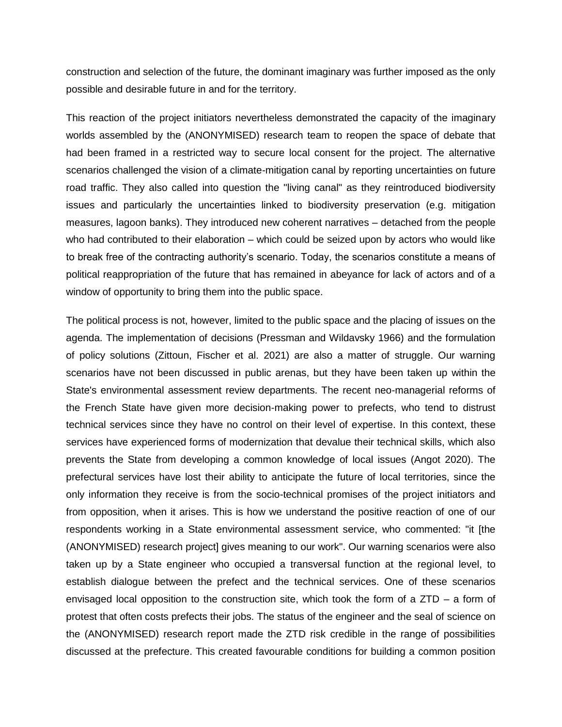construction and selection of the future, the dominant imaginary was further imposed as the only possible and desirable future in and for the territory.

This reaction of the project initiators nevertheless demonstrated the capacity of the imaginary worlds assembled by the (ANONYMISED) research team to reopen the space of debate that had been framed in a restricted way to secure local consent for the project. The alternative scenarios challenged the vision of a climate-mitigation canal by reporting uncertainties on future road traffic. They also called into question the "living canal" as they reintroduced biodiversity issues and particularly the uncertainties linked to biodiversity preservation (e.g. mitigation measures, lagoon banks). They introduced new coherent narratives – detached from the people who had contributed to their elaboration – which could be seized upon by actors who would like to break free of the contracting authority's scenario. Today, the scenarios constitute a means of political reappropriation of the future that has remained in abeyance for lack of actors and of a window of opportunity to bring them into the public space.

The political process is not, however, limited to the public space and the placing of issues on the agenda. The implementation of decisions (Pressman and Wildavsky 1966) and the formulation of policy solutions (Zittoun, Fischer et al. 2021) are also a matter of struggle. Our warning scenarios have not been discussed in public arenas, but they have been taken up within the State's environmental assessment review departments. The recent neo-managerial reforms of the French State have given more decision-making power to prefects, who tend to distrust technical services since they have no control on their level of expertise. In this context, these services have experienced forms of modernization that devalue their technical skills, which also prevents the State from developing a common knowledge of local issues (Angot 2020). The prefectural services have lost their ability to anticipate the future of local territories, since the only information they receive is from the socio-technical promises of the project initiators and from opposition, when it arises. This is how we understand the positive reaction of one of our respondents working in a State environmental assessment service, who commented: "it [the (ANONYMISED) research project] gives meaning to our work". Our warning scenarios were also taken up by a State engineer who occupied a transversal function at the regional level, to establish dialogue between the prefect and the technical services. One of these scenarios envisaged local opposition to the construction site, which took the form of a ZTD – a form of protest that often costs prefects their jobs. The status of the engineer and the seal of science on the (ANONYMISED) research report made the ZTD risk credible in the range of possibilities discussed at the prefecture. This created favourable conditions for building a common position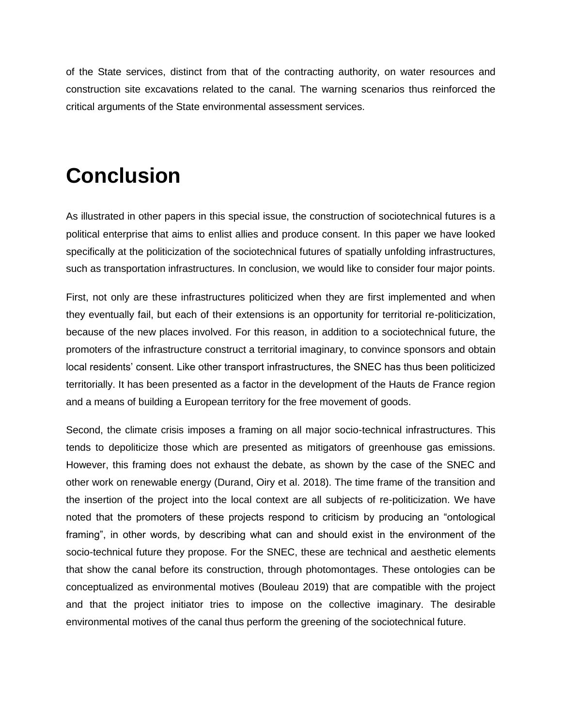of the State services, distinct from that of the contracting authority, on water resources and construction site excavations related to the canal. The warning scenarios thus reinforced the critical arguments of the State environmental assessment services.

## **Conclusion**

As illustrated in other papers in this special issue, the construction of sociotechnical futures is a political enterprise that aims to enlist allies and produce consent. In this paper we have looked specifically at the politicization of the sociotechnical futures of spatially unfolding infrastructures, such as transportation infrastructures. In conclusion, we would like to consider four major points.

First, not only are these infrastructures politicized when they are first implemented and when they eventually fail, but each of their extensions is an opportunity for territorial re-politicization, because of the new places involved. For this reason, in addition to a sociotechnical future, the promoters of the infrastructure construct a territorial imaginary, to convince sponsors and obtain local residents' consent. Like other transport infrastructures, the SNEC has thus been politicized territorially. It has been presented as a factor in the development of the Hauts de France region and a means of building a European territory for the free movement of goods.

Second, the climate crisis imposes a framing on all major socio-technical infrastructures. This tends to depoliticize those which are presented as mitigators of greenhouse gas emissions. However, this framing does not exhaust the debate, as shown by the case of the SNEC and other work on renewable energy (Durand, Oiry et al. 2018). The time frame of the transition and the insertion of the project into the local context are all subjects of re-politicization. We have noted that the promoters of these projects respond to criticism by producing an "ontological framing", in other words, by describing what can and should exist in the environment of the socio-technical future they propose. For the SNEC, these are technical and aesthetic elements that show the canal before its construction, through photomontages. These ontologies can be conceptualized as environmental motives (Bouleau 2019) that are compatible with the project and that the project initiator tries to impose on the collective imaginary. The desirable environmental motives of the canal thus perform the greening of the sociotechnical future.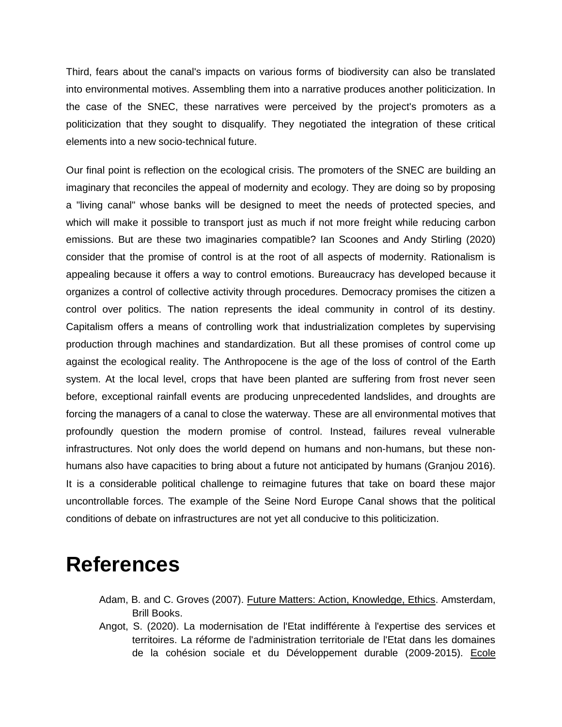Third, fears about the canal's impacts on various forms of biodiversity can also be translated into environmental motives. Assembling them into a narrative produces another politicization. In the case of the SNEC, these narratives were perceived by the project's promoters as a politicization that they sought to disqualify. They negotiated the integration of these critical elements into a new socio-technical future.

Our final point is reflection on the ecological crisis. The promoters of the SNEC are building an imaginary that reconciles the appeal of modernity and ecology. They are doing so by proposing a "living canal" whose banks will be designed to meet the needs of protected species, and which will make it possible to transport just as much if not more freight while reducing carbon emissions. But are these two imaginaries compatible? Ian Scoones and Andy Stirling (2020) consider that the promise of control is at the root of all aspects of modernity. Rationalism is appealing because it offers a way to control emotions. Bureaucracy has developed because it organizes a control of collective activity through procedures. Democracy promises the citizen a control over politics. The nation represents the ideal community in control of its destiny. Capitalism offers a means of controlling work that industrialization completes by supervising production through machines and standardization. But all these promises of control come up against the ecological reality. The Anthropocene is the age of the loss of control of the Earth system. At the local level, crops that have been planted are suffering from frost never seen before, exceptional rainfall events are producing unprecedented landslides, and droughts are forcing the managers of a canal to close the waterway. These are all environmental motives that profoundly question the modern promise of control. Instead, failures reveal vulnerable infrastructures. Not only does the world depend on humans and non-humans, but these nonhumans also have capacities to bring about a future not anticipated by humans (Granjou 2016). It is a considerable political challenge to reimagine futures that take on board these major uncontrollable forces. The example of the Seine Nord Europe Canal shows that the political conditions of debate on infrastructures are not yet all conducive to this politicization.

#### **References**

- Adam, B. and C. Groves (2007). Future Matters: Action, Knowledge, Ethics. Amsterdam, Brill Books.
- Angot, S. (2020). La modernisation de l'Etat indifférente à l'expertise des services et territoires. La réforme de l'administration territoriale de l'Etat dans les domaines de la cohésion sociale et du Développement durable (2009-2015). Ecole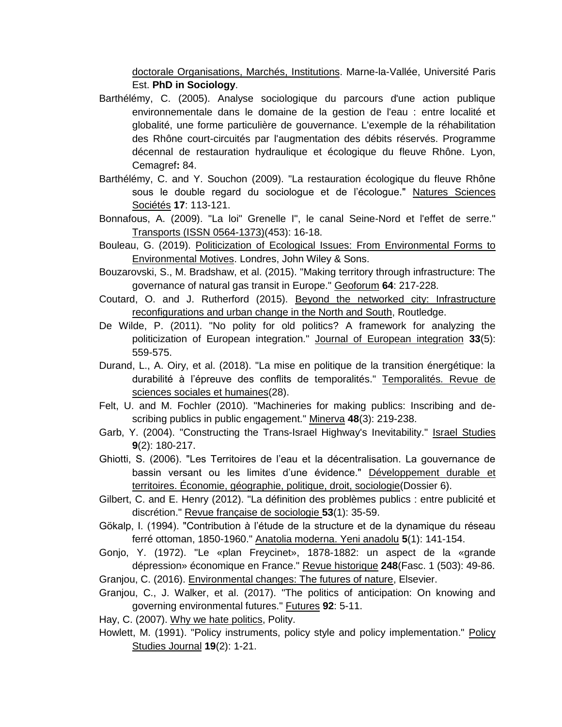doctorale Organisations, Marchés, Institutions. Marne-la-Vallée, Université Paris Est. **PhD in Sociology**.

- Barthélémy, C. (2005). Analyse sociologique du parcours d'une action publique environnementale dans le domaine de la gestion de l'eau : entre localité et globalité, une forme particulière de gouvernance. L'exemple de la réhabilitation des Rhône court-circuités par l'augmentation des débits réservés. Programme décennal de restauration hydraulique et écologique du fleuve Rhône. Lyon, Cemagref**:** 84.
- Barthélémy, C. and Y. Souchon (2009). "La restauration écologique du fleuve Rhône sous le double regard du sociologue et de l'écologue." Natures Sciences Sociétés **17**: 113-121.
- Bonnafous, A. (2009). "La loi" Grenelle I", le canal Seine-Nord et l'effet de serre." Transports (ISSN 0564-1373)(453): 16-18.
- Bouleau, G. (2019). Politicization of Ecological Issues: From Environmental Forms to Environmental Motives. Londres, John Wiley & Sons.
- Bouzarovski, S., M. Bradshaw, et al. (2015). "Making territory through infrastructure: The governance of natural gas transit in Europe." Geoforum **64**: 217-228.
- Coutard, O. and J. Rutherford (2015). Beyond the networked city: Infrastructure reconfigurations and urban change in the North and South, Routledge.
- De Wilde, P. (2011). "No polity for old politics? A framework for analyzing the politicization of European integration." Journal of European integration **33**(5): 559-575.
- Durand, L., A. Oiry, et al. (2018). "La mise en politique de la transition énergétique: la durabilité à l'épreuve des conflits de temporalités." Temporalités. Revue de sciences sociales et humaines(28).
- Felt, U. and M. Fochler (2010). "Machineries for making publics: Inscribing and describing publics in public engagement." Minerva **48**(3): 219-238.
- Garb, Y. (2004). "Constructing the Trans-Israel Highway's Inevitability." Israel Studies **9**(2): 180-217.
- Ghiotti, S. (2006). "Les Territoires de l'eau et la décentralisation. La gouvernance de bassin versant ou les limites d'une évidence." Développement durable et territoires. Économie, géographie, politique, droit, sociologie(Dossier 6).
- Gilbert, C. and E. Henry (2012). "La définition des problèmes publics : entre publicité et discrétion." Revue française de sociologie **53**(1): 35-59.
- Gökalp, I. (1994). "Contribution à l'étude de la structure et de la dynamique du réseau ferré ottoman, 1850-1960." Anatolia moderna. Yeni anadolu **5**(1): 141-154.
- Gonjo, Y. (1972). "Le «plan Freycinet», 1878-1882: un aspect de la «grande dépression» économique en France." Revue historique **248**(Fasc. 1 (503): 49-86.
- Granjou, C. (2016). Environmental changes: The futures of nature, Elsevier.
- Granjou, C., J. Walker, et al. (2017). "The politics of anticipation: On knowing and governing environmental futures." Futures **92**: 5-11.

Hay, C. (2007). Why we hate politics, Polity.

Howlett, M. (1991). "Policy instruments, policy style and policy implementation." Policy Studies Journal **19**(2): 1-21.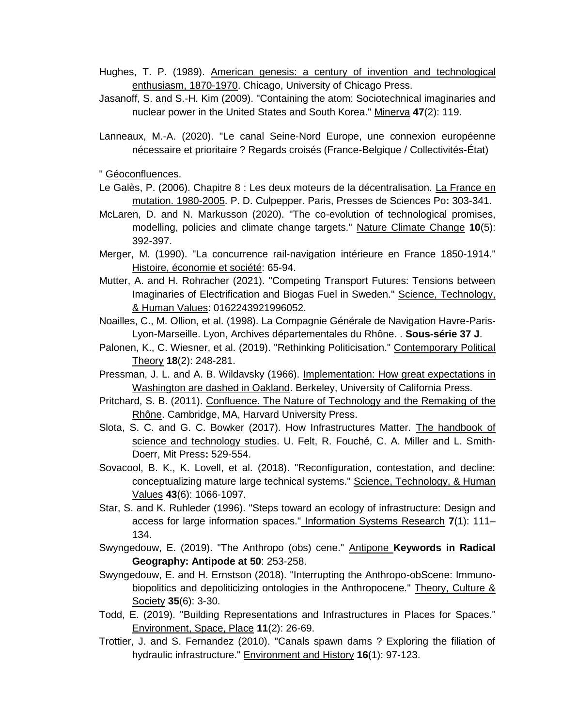- Hughes, T. P. (1989). American genesis: a century of invention and technological enthusiasm, 1870-1970. Chicago, University of Chicago Press.
- Jasanoff, S. and S.-H. Kim (2009). "Containing the atom: Sociotechnical imaginaries and nuclear power in the United States and South Korea." Minerva **47**(2): 119.
- Lanneaux, M.-A. (2020). "Le canal Seine-Nord Europe, une connexion européenne nécessaire et prioritaire ? Regards croisés (France-Belgique / Collectivités-État)

" Géoconfluences.

- Le Galès, P. (2006). Chapitre 8 : Les deux moteurs de la décentralisation. La France en mutation. 1980-2005. P. D. Culpepper. Paris, Presses de Sciences Po**:** 303-341.
- McLaren, D. and N. Markusson (2020). "The co-evolution of technological promises, modelling, policies and climate change targets." Nature Climate Change **10**(5): 392-397.
- Merger, M. (1990). "La concurrence rail-navigation intérieure en France 1850-1914." Histoire, économie et société: 65-94.
- Mutter, A. and H. Rohracher (2021). "Competing Transport Futures: Tensions between Imaginaries of Electrification and Biogas Fuel in Sweden." Science, Technology, & Human Values: 0162243921996052.
- Noailles, C., M. Ollion, et al. (1998). La Compagnie Générale de Navigation Havre-Paris-Lyon-Marseille. Lyon, Archives départementales du Rhône. . **Sous-série 37 J**.
- Palonen, K., C. Wiesner, et al. (2019). "Rethinking Politicisation." Contemporary Political Theory **18**(2): 248-281.
- Pressman, J. L. and A. B. Wildavsky (1966). Implementation: How great expectations in Washington are dashed in Oakland. Berkeley, University of California Press.
- Pritchard, S. B. (2011). Confluence. The Nature of Technology and the Remaking of the Rhône. Cambridge, MA, Harvard University Press.
- Slota, S. C. and G. C. Bowker (2017). How Infrastructures Matter. The handbook of science and technology studies. U. Felt, R. Fouché, C. A. Miller and L. Smith-Doerr, Mit Press**:** 529-554.
- Sovacool, B. K., K. Lovell, et al. (2018). "Reconfiguration, contestation, and decline: conceptualizing mature large technical systems." Science, Technology, & Human Values **43**(6): 1066-1097.
- Star, S. and K. Ruhleder (1996). "Steps toward an ecology of infrastructure: Design and access for large information spaces." Information Systems Research **7**(1): 111– 134.
- Swyngedouw, E. (2019). "The Anthropo (obs) cene." Antipone **Keywords in Radical Geography: Antipode at 50**: 253-258.
- Swyngedouw, E. and H. Ernstson (2018). "Interrupting the Anthropo-obScene: Immunobiopolitics and depoliticizing ontologies in the Anthropocene." Theory, Culture & Society **35**(6): 3-30.
- Todd, E. (2019). "Building Representations and Infrastructures in Places for Spaces." Environment, Space, Place **11**(2): 26-69.
- Trottier, J. and S. Fernandez (2010). "Canals spawn dams ? Exploring the filiation of hydraulic infrastructure." Environment and History **16**(1): 97-123.